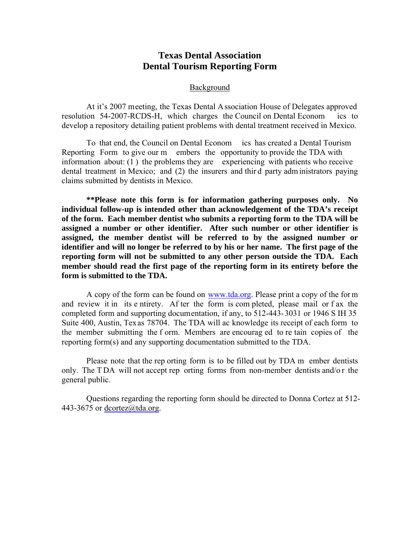# **Texas Dental Association Dental Tourism Reporting Form**

#### Background

At it's 2007 meeting, the Texas Dental Association House of Delegates approved resolution 54-2007-RCDS-H, which charges the Council on Dental Econom ics to develop a repository detailing patient problems with dental treatment received in Mexico.

To that end, the Council on Dental Econom ics has created a Dental Tourism Reporting Form to give our m embers the opportunity to provide the TDA with information about: (1 ) the problems they are experiencing with patients who receive dental treatment in Mexico; and (2) the insurers and thir d party adm inistrators paying claims submitted by dentists in Mexico.

**\*\*Please note this form is for information gathering purposes only. No individual follow-up is intended other than acknowledgement of the TDA's receipt of the form. Each member dentist who submits a reporting form to the TDA will be assigned a number or other identifier. After such number or other identifier is assigned, the member dentist will be referred to by the assigned number or identifier and will no longer be referred to by his or her name. The first page of the reporting form will not be submitted to any other person outside the TDA. Each member should read the first page of the reporting form in its entirety before the form is submitted to the TDA.**

A copy of the form can be found on www.tda.org. Please print a copy of the for m and review it in its e ntirety. Af ter the form is com pleted, please mail or f ax the completed form and supporting documentation, if any, to 512-443-3031 or 1946 S IH 35 Suite 400, Austin, Texas 78704. The TDA will ac knowledge its receipt of each form to the member submitting the f orm. Members are encourag ed to re tain copies of the reporting form(s) and any supporting documentation submitted to the TDA.

Please note that the rep orting form is to be filled out by TDA m ember dentists only. The T DA will not accept rep orting forms from non-member dentists and/o r the general public.

Questions regarding the reporting form should be directed to Donna Cortez at 512- 443-3675 or dcortez@tda.org.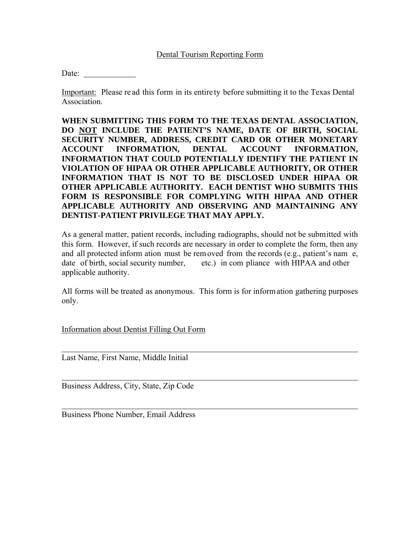# Dental Tourism Reporting Form

Date:

Important: Please re ad this form in its entire ty before submitting it to the Texas Dental Association.

**WHEN SUBMITTING THIS FORM TO THE TEXAS DENTAL ASSOCIATION, DO NOT INCLUDE THE PATIENT'S NAME, DATE OF BIRTH, SOCIAL SECURITY NUMBER, ADDRESS, CREDIT CARD OR OTHER MONETARY ACCOUNT INFORMATION, DENTAL ACCOUNT INFORMATION, INFORMATION THAT COULD POTENTIALLY IDENTIFY THE PATIENT IN VIOLATION OF HIPAA OR OTHER APPLICABLE AUTHORITY, OR OTHER INFORMATION THAT IS NOT TO BE DISCLOSED UNDER HIPAA OR OTHER APPLICABLE AUTHORITY. EACH DENTIST WHO SUBMITS THIS FORM IS RESPONSIBLE FOR COMPLYING WITH HIPAA AND OTHER APPLICABLE AUTHORITY AND OBSERVING AND MAINTAINING ANY DENTIST-PATIENT PRIVILEGE THAT MAY APPLY.** 

As a general matter, patient records, including radiographs, should not be submitted with this form. However, if such records are necessary in order to complete the form, then any and all protected inform ation must be removed from the records (e.g., patient's nam e, date of birth, social security number, etc.) in com pliance with HIPAA and other applicable authority.

All forms will be treated as anonymous. This form is for information gathering purposes only.

Information about Dentist Filling Out Form

Last Name, First Name, Middle Initial

 $\overline{a}$ 

 $\overline{a}$ 

Business Address, City, State, Zip Code

Business Phone Number, Email Address